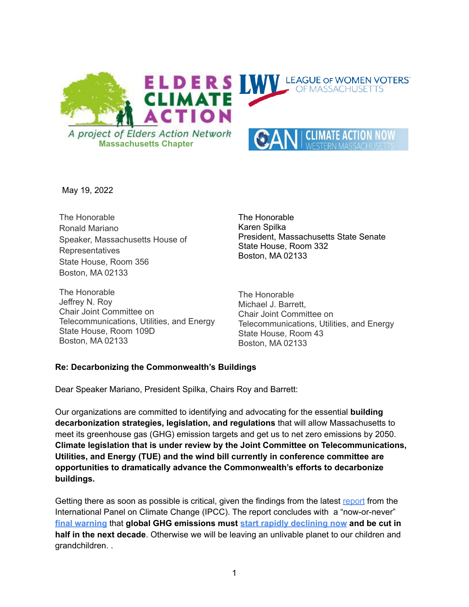

May 19, 2022

The Honorable Ronald Mariano Speaker, Massachusetts House of Representatives State House, Room 356 Boston, MA 02133

The Honorable Jeffrey N. Roy Chair Joint Committee on Telecommunications, Utilities, and Energy State House, Room 109D Boston, MA 02133

The Honorable Karen Spilka President, Massachusetts State Senate State House, Room 332 Boston, MA 02133

The Honorable Michael J. Barrett, Chair Joint Committee on Telecommunications, Utilities, and Energy State House, Room 43 Boston, MA 02133

#### **Re: Decarbonizing the Commonwealth's Buildings**

Dear Speaker Mariano, President Spilka, Chairs Roy and Barrett:

Our organizations are committed to identifying and advocating for the essential **building decarbonization strategies, legislation, and regulations** that will allow Massachusetts to meet its greenhouse gas (GHG) emission targets and get us to net zero emissions by 2050. **Climate legislation that is under review by the Joint Committee on Telecommunications, Utilities, and Energy (TUE) and the wind bill currently in conference committee are opportunities to dramatically advance the Commonwealth's efforts to decarbonize buildings.**

Getting there as soon as possible is critical, given the findings from the latest [report](https://nam10.safelinks.protection.outlook.com/?url=https%3A%2F%2Fr20.rs6.net%2Ftn.jsp%3Ff%3D001vFITci0Zp9AyrLWb_LpdUMnJZnP4VSausyiOv0bU3gq6gwtDXLYDCL3GNuocVNa_U8Fxc4U8kCFhdIq-AU9bM1R-vPWFfRUsTkP8r-48h7qFhyNFXzOMuyXbjeAcldYTvR3NfJ6MaZjp8fgSEVMYGvJG7nHltdUcM8q7im8wh8w53ieLnLXQBTiWNDN2FovphXsN4pvGIrKgx2I4X89HIQ%3D%3D%26c%3DPxVxNeH3GTEEOPk7mY_rXJxRlk2_k0S-5AL1l_ejeu3hJFKFcgyScA%3D%3D%26ch%3D63rB5y-_m6Y84oBHnR9RViSrTAqswG6k626N15IuYTS1FvqvPCgNbA%3D%3D&data=04%7C01%7Croger.luckmann%40umassmed.edu%7Cb4678f85945d4621839f08da215c40a5%7Cee9155fe2da34378a6c44405faf57b2e%7C0%7C0%7C637858977391582004%7CUnknown%7CTWFpbGZsb3d8eyJWIjoiMC4wLjAwMDAiLCJQIjoiV2luMzIiLCJBTiI6Ik1haWwiLCJXVCI6Mn0%3D%7C3000&sdata=G4pPMfUVjgWUtrPHOamSOgzLmqBmzWAqJ%2FP92A6scrg%3D&reserved=0) from the International Panel on Climate Change (IPCC). The report concludes with a "now-or-never" **final [warning](https://nam10.safelinks.protection.outlook.com/?url=https%3A%2F%2Fr20.rs6.net%2Ftn.jsp%3Ff%3D001vFITci0Zp9AyrLWb_LpdUMnJZnP4VSausyiOv0bU3gq6gwtDXLYDCL3GNuocVNa_oUt0HTvKnN34PCtXGs8bL4uQWjGfQAOVCun0JrDMOFaqgeOhBjYs8MB-cD4KKnhlRSULDLUlnNWl3Atys2TXHekqge_17u5U9mPcGKY0SP7H4-z65NOCyvI2t1aBk6DBJzdhM1XehMOGwGb4t8RWUU94xvA7cznILMlOGUmGLYcinM-gH4gFzgwCAGCQvnHuw0_xIML3F4iRuUN8PwhiTg%3D%3D%26c%3DPxVxNeH3GTEEOPk7mY_rXJxRlk2_k0S-5AL1l_ejeu3hJFKFcgyScA%3D%3D%26ch%3D63rB5y-_m6Y84oBHnR9RViSrTAqswG6k626N15IuYTS1FvqvPCgNbA%3D%3D&data=04%7C01%7Croger.luckmann%40umassmed.edu%7Cb4678f85945d4621839f08da215c40a5%7Cee9155fe2da34378a6c44405faf57b2e%7C0%7C0%7C637858977391582004%7CUnknown%7CTWFpbGZsb3d8eyJWIjoiMC4wLjAwMDAiLCJQIjoiV2luMzIiLCJBTiI6Ik1haWwiLCJXVCI6Mn0%3D%7C3000&sdata=f5y6Ty8nnn7x7E46AMDovEkxDGW1rzfgZnGhIrR0vZo%3D&reserved=0)** that **global GHG emissions must start rapidly [declining](https://nam10.safelinks.protection.outlook.com/?url=https%3A%2F%2Fr20.rs6.net%2Ftn.jsp%3Ff%3D001vFITci0Zp9AyrLWb_LpdUMnJZnP4VSausyiOv0bU3gq6gwtDXLYDCL3GNuocVNa_BzayagW7FOSt3QJLJYH-QkA_9zIP6nZGRHaNdCuPuhTUVI1MGvqjC9nemEUguke0HIwXgKhA7zVwVpNNJ8hyFPsnzzWGnYgxJ_rW3fow-1f-rxdzYFAqFK9KKWzDKo8n%26c%3DPxVxNeH3GTEEOPk7mY_rXJxRlk2_k0S-5AL1l_ejeu3hJFKFcgyScA%3D%3D%26ch%3D63rB5y-_m6Y84oBHnR9RViSrTAqswG6k626N15IuYTS1FvqvPCgNbA%3D%3D&data=04%7C01%7Croger.luckmann%40umassmed.edu%7Cb4678f85945d4621839f08da215c40a5%7Cee9155fe2da34378a6c44405faf57b2e%7C0%7C0%7C637858977391582004%7CUnknown%7CTWFpbGZsb3d8eyJWIjoiMC4wLjAwMDAiLCJQIjoiV2luMzIiLCJBTiI6Ik1haWwiLCJXVCI6Mn0%3D%7C3000&sdata=egql5JeN2tgj8Blcj3wJ4McCZAhxstrahWBDTLj%2FnPY%3D&reserved=0) now and be cut in half in the next decade**. Otherwise we will be leaving an unlivable planet to our children and grandchildren. .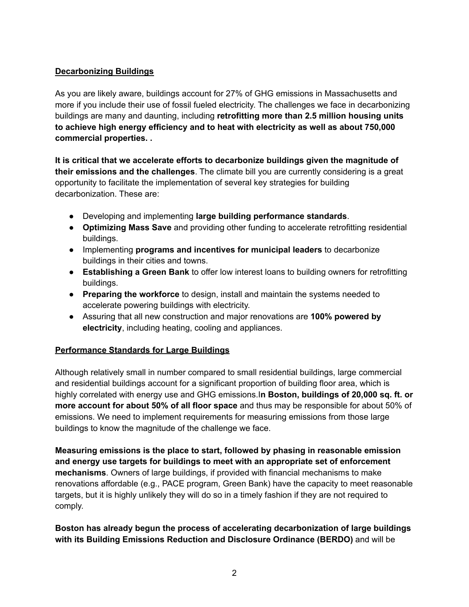### **Decarbonizing Buildings**

As you are likely aware, buildings account for 27% of GHG emissions in Massachusetts and more if you include their use of fossil fueled electricity. The challenges we face in decarbonizing buildings are many and daunting, including **retrofitting more than 2.5 million housing units to achieve high energy efficiency and to heat with electricity as well as about 750,000 commercial properties. .**

**It is critical that we accelerate efforts to decarbonize buildings given the magnitude of their emissions and the challenges**. The climate bill you are currently considering is a great opportunity to facilitate the implementation of several key strategies for building decarbonization. These are:

- Developing and implementing **large building performance standards**.
- **Optimizing Mass Save** and providing other funding to accelerate retrofitting residential buildings.
- Implementing **programs and incentives for municipal leaders** to decarbonize buildings in their cities and towns.
- **Establishing a Green Bank** to offer low interest loans to building owners for retrofitting buildings.
- **Preparing the workforce** to design, install and maintain the systems needed to accelerate powering buildings with electricity.
- Assuring that all new construction and major renovations are **100% powered by electricity**, including heating, cooling and appliances.

# **Performance Standards for Large Buildings**

Although relatively small in number compared to small residential buildings, large commercial and residential buildings account for a significant proportion of building floor area, which is highly correlated with energy use and GHG emissions.I**n Boston, buildings of 20,000 sq. ft. or more account for about 50% of all floor space** and thus may be responsible for about 50% of emissions. We need to implement requirements for measuring emissions from those large buildings to know the magnitude of the challenge we face.

**Measuring emissions is the place to start, followed by phasing in reasonable emission and energy use targets for buildings to meet with an appropriate set of enforcement mechanisms**. Owners of large buildings, if provided with financial mechanisms to make renovations affordable (e.g., PACE program, Green Bank) have the capacity to meet reasonable targets, but it is highly unlikely they will do so in a timely fashion if they are not required to comply.

### **Boston has already begun the process of accelerating decarbonization of large buildings with its Building Emissions Reduction and Disclosure Ordinance (BERDO)** and will be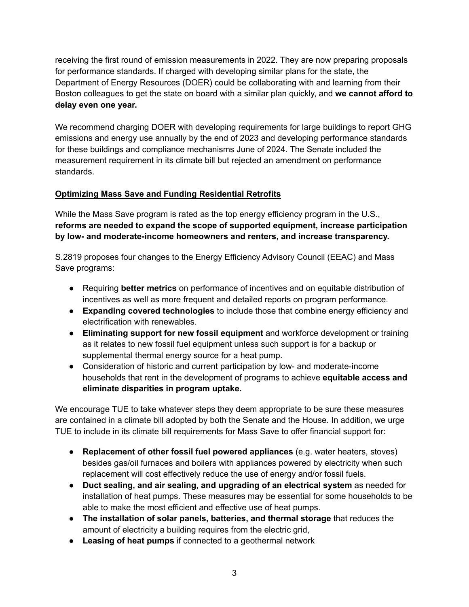receiving the first round of emission measurements in 2022. They are now preparing proposals for performance standards. If charged with developing similar plans for the state, the Department of Energy Resources (DOER) could be collaborating with and learning from their Boston colleagues to get the state on board with a similar plan quickly, and **we cannot afford to delay even one year.**

We recommend charging DOER with developing requirements for large buildings to report GHG emissions and energy use annually by the end of 2023 and developing performance standards for these buildings and compliance mechanisms June of 2024. The Senate included the measurement requirement in its climate bill but rejected an amendment on performance standards.

# **Optimizing Mass Save and Funding Residential Retrofits**

While the Mass Save program is rated as the top energy efficiency program in the U.S., **reforms are needed to expand the scope of supported equipment, increase participation by low- and moderate-income homeowners and renters, and increase transparency.**

S.2819 proposes four changes to the Energy Efficiency Advisory Council (EEAC) and Mass Save programs:

- Requiring **better metrics** on performance of incentives and on equitable distribution of incentives as well as more frequent and detailed reports on program performance.
- **Expanding covered technologies** to include those that combine energy efficiency and electrification with renewables.
- **Eliminating support for new fossil equipment** and workforce development or training as it relates to new fossil fuel equipment unless such support is for a backup or supplemental thermal energy source for a heat pump.
- Consideration of historic and current participation by low- and moderate-income households that rent in the development of programs to achieve **equitable access and eliminate disparities in program uptake.**

We encourage TUE to take whatever steps they deem appropriate to be sure these measures are contained in a climate bill adopted by both the Senate and the House. In addition, we urge TUE to include in its climate bill requirements for Mass Save to offer financial support for:

- **Replacement of other fossil fuel powered appliances** (e.g. water heaters, stoves) besides gas/oil furnaces and boilers with appliances powered by electricity when such replacement will cost effectively reduce the use of energy and/or fossil fuels.
- **Duct sealing, and air sealing, and upgrading of an electrical system** as needed for installation of heat pumps. These measures may be essential for some households to be able to make the most efficient and effective use of heat pumps.
- **The installation of solar panels, batteries, and thermal storage** that reduces the amount of electricity a building requires from the electric grid,
- **Leasing of heat pumps** if connected to a geothermal network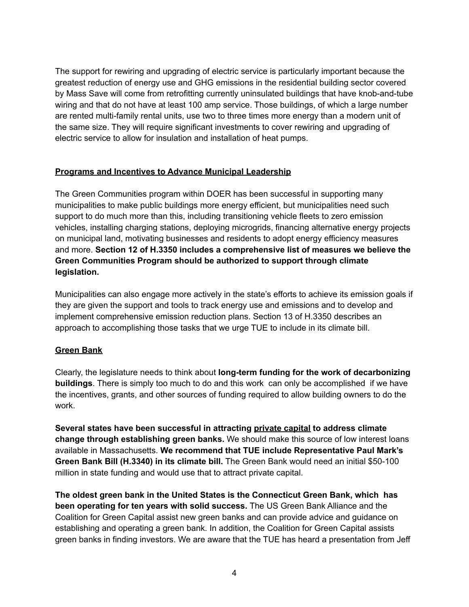The support for rewiring and upgrading of electric service is particularly important because the greatest reduction of energy use and GHG emissions in the residential building sector covered by Mass Save will come from retrofitting currently uninsulated buildings that have knob-and-tube wiring and that do not have at least 100 amp service. Those buildings, of which a large number are rented multi-family rental units, use two to three times more energy than a modern unit of the same size. They will require significant investments to cover rewiring and upgrading of electric service to allow for insulation and installation of heat pumps.

### **Programs and Incentives to Advance Municipal Leadership**

The Green Communities program within DOER has been successful in supporting many municipalities to make public buildings more energy efficient, but municipalities need such support to do much more than this, including transitioning vehicle fleets to zero emission vehicles, installing charging stations, deploying microgrids, financing alternative energy projects on municipal land, motivating businesses and residents to adopt energy efficiency measures and more. **Section 12 of H.3350 includes a comprehensive list of measures we believe the Green Communities Program should be authorized to support through climate legislation.**

Municipalities can also engage more actively in the state's efforts to achieve its emission goals if they are given the support and tools to track energy use and emissions and to develop and implement comprehensive emission reduction plans. Section 13 of H.3350 describes an approach to accomplishing those tasks that we urge TUE to include in its climate bill.

### **Green Bank**

Clearly, the legislature needs to think about **long-term funding for the work of decarbonizing buildings**. There is simply too much to do and this work can only be accomplished if we have the incentives, grants, and other sources of funding required to allow building owners to do the work.

**Several states have been successful in attracting private capital to address climate change through establishing green banks.** We should make this source of low interest loans available in Massachusetts. **We recommend that TUE include Representative Paul Mark's Green Bank Bill (H.3340) in its climate bill.** The Green Bank would need an initial \$50-100 million in state funding and would use that to attract private capital.

**The oldest green bank in the United States is the Connecticut Green Bank, which has been operating for ten years with solid success.** The US Green Bank Alliance and the Coalition for Green Capital assist new green banks and can provide advice and guidance on establishing and operating a green bank. In addition, the Coalition for Green Capital assists green banks in finding investors. We are aware that the TUE has heard a presentation from Jeff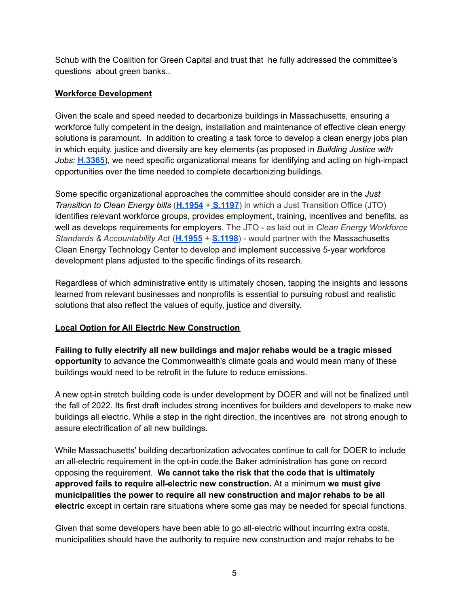Schub with the Coalition for Green Capital and trust that he fully addressed the committee's questions about green banks..

#### **Workforce Development**

Given the scale and speed needed to decarbonize buildings in Massachusetts, ensuring a workforce fully competent in the design, installation and maintenance of effective clean energy solutions is paramount. In addition to creating a task force to develop a clean energy jobs plan in which equity, justice and diversity are key elements (as proposed in *Building Justice with Jobs:* **[H.3365](https://malegislature.gov/Bills/192/H3365)**), we need specific organizational means for identifying and acting on high-impact opportunities over the time needed to complete decarbonizing buildings.

Some specific organizational approaches the committee should consider are in the *Just Transition to Clean Energy bills* (**[H.1954](https://malegislature.gov/Bills/192/H1954)** + **[S.1197](https://malegislature.gov/Bills/192/S1197)**) in which a Just Transition Office (JTO) identifies relevant workforce groups, provides employment, training, incentives and benefits, as well as develops requirements for employers. The JTO - as laid out in *Clean Energy Workforce Standards & Accountability Act* (**[H.1955](https://malegislature.gov/Bills/192/H1955)** + **[S.1198](https://malegislature.gov/Bills/192/S1198)**) - would partner with the Massachusetts Clean Energy Technology Center to develop and implement successive 5-year workforce development plans adjusted to the specific findings of its research.

Regardless of which administrative entity is ultimately chosen, tapping the insights and lessons learned from relevant businesses and nonprofits is essential to pursuing robust and realistic solutions that also reflect the values of equity, justice and diversity.

### **Local Option for All Electric New Construction**

**Failing to fully electrify all new buildings and major rehabs would be a tragic missed opportunity** to advance the Commonwealth's climate goals and would mean many of these buildings would need to be retrofit in the future to reduce emissions.

A new opt-in stretch building code is under development by DOER and will not be finalized until the fall of 2022. Its first draft includes strong incentives for builders and developers to make new buildings all electric. While a step in the right direction, the incentives are not strong enough to assure electrification of all new buildings.

While Massachusetts' building decarbonization advocates continue to call for DOER to include an all-electric requirement in the opt-in code,the Baker administration has gone on record opposing the requirement. **We cannot take the risk that the code that is ultimately approved fails to require all-electric new construction.** At a minimum **we must give municipalities the power to require all new construction and major rehabs to be all electric** except in certain rare situations where some gas may be needed for special functions.

Given that some developers have been able to go all-electric without incurring extra costs, municipalities should have the authority to require new construction and major rehabs to be